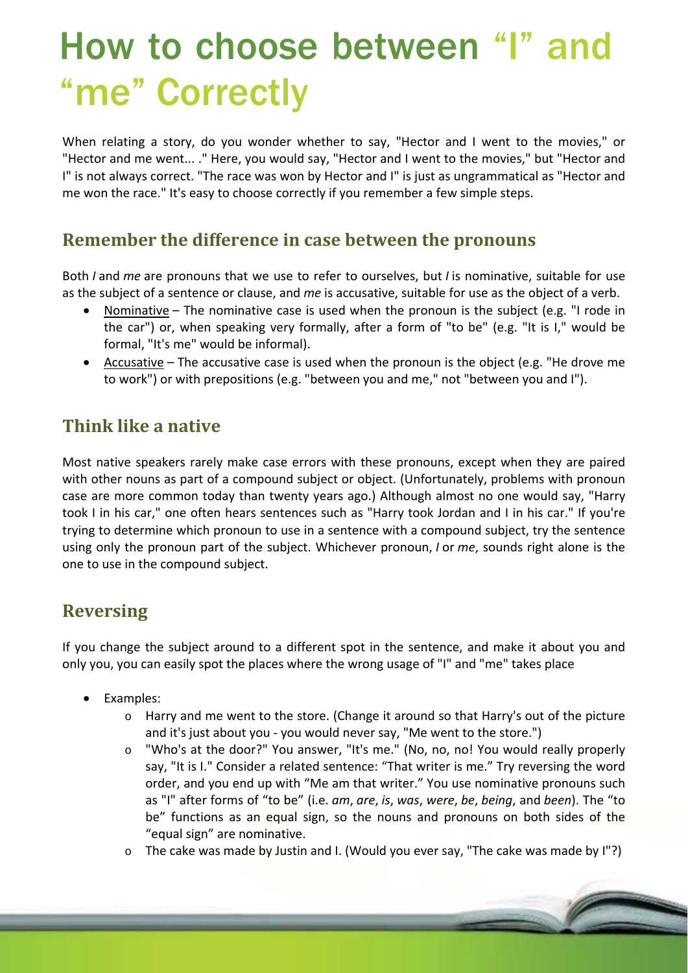# How to choose between "I" and "me" Correctly

When relating a story, do you wonder whether to say, "Hector and I went to the movies," or "Hector and me went... ." Here, you would say, "Hector and I went to the movies," but "Hector and I" is not always correct. "The race was won by Hector and I" is just as ungrammatical as "Hector and me won the race." It's easy to choose correctly if you remember a few simple steps.

#### **Remember the difference in case between the pronouns**

Both *I* and *me* are pronouns that we use to refer to ourselves, but *I* is nominative, suitable for use as the subject of a sentence or clause, and *me* is accusative, suitable for use as the object of a verb.

- Nominative The nominative case is used when the pronoun is the subject (e.g. "I rode in the car") or, when speaking very formally, after a form of "to be" (e.g. "It is I," would be formal, "It's me" would be informal).
- Accusative The accusative case is used when the pronoun is the object (e.g. "He drove me to work") or with prepositions (e.g. "between you and me," not "between you and I").

## **Think like a native**

Most native speakers rarely make case errors with these pronouns, except when they are paired with other nouns as part of a compound subject or object. (Unfortunately, problems with pronoun case are more common today than twenty years ago.) Although almost no one would say, "Harry took I in his car," one often hears sentences such as "Harry took Jordan and I in his car." If you're trying to determine which pronoun to use in a sentence with a compound subject, try the sentence using only the pronoun part of the subject. Whichever pronoun, *I* or *me*, sounds right alone is the one to use in the compound subject.

### **Reversing**

If you change the subject around to a different spot in the sentence, and make it about you and only you, you can easily spot the places where the wrong usage of "I" and "me" takes place

- Examples:
	- $\circ$  Harry and me went to the store. (Change it around so that Harry's out of the picture and it's just about you ‐ you would never say, "Me went to the store.")
	- o "Who's at the door?" You answer, "It's me." (No, no, no! You would really properly say, "It is I." Consider a related sentence: "That writer is me." Try reversing the word order, and you end up with "Me am that writer." You use nominative pronouns such as "I" after forms of "to be" (i.e. *am*, *are*, *is*, *was*, *were*, *be*, *being*, and *been*). The "to be" functions as an equal sign, so the nouns and pronouns on both sides of the "equal sign" are nominative.
	- o The cake was made by Justin and I. (Would you ever say, "The cake was made by I"?)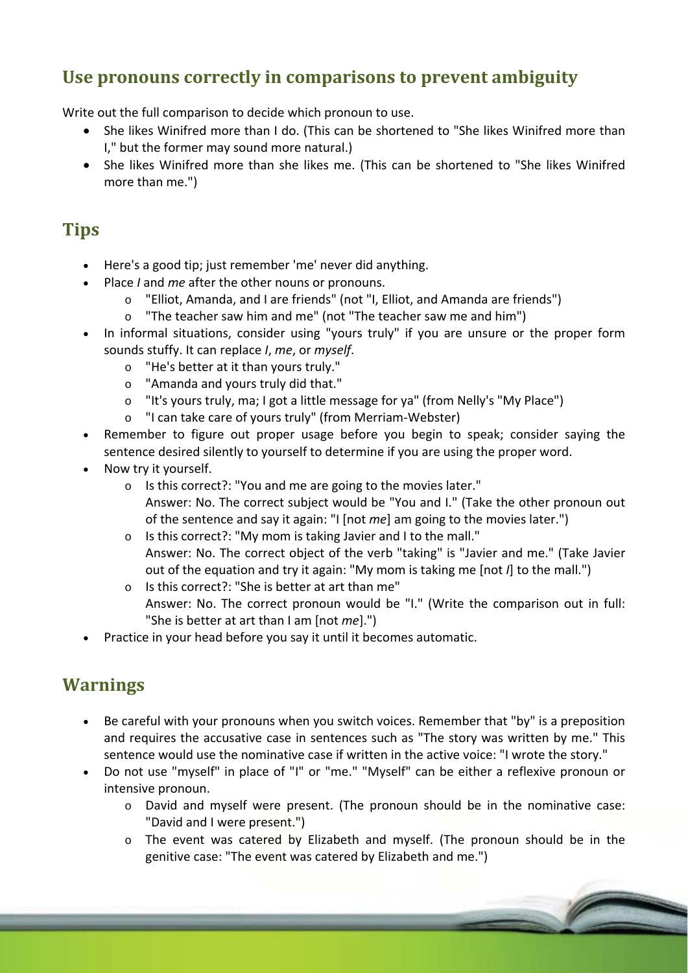## **Use pronouns correctly in comparisons to prevent ambiguity**

Write out the full comparison to decide which pronoun to use.

- She likes Winifred more than I do. (This can be shortened to "She likes Winifred more than I," but the former may sound more natural.)
- She likes Winifred more than she likes me. (This can be shortened to "She likes Winifred more than me.")

## **Tips**

- Here's a good tip; just remember 'me' never did anything.
- Place *I* and *me* after the other nouns or pronouns.
	- o "Elliot, Amanda, and I are friends" (not "I, Elliot, and Amanda are friends")
	- o "The teacher saw him and me" (not "The teacher saw me and him")
- In informal situations, consider using "yours truly" if you are unsure or the proper form sounds stuffy. It can replace *I*, *me*, or *myself*.
	- o "He's better at it than yours truly."
	- o "Amanda and yours truly did that."
	- o "It's yours truly, ma; I got a little message for ya" (from Nelly's "My Place")
	- o "I can take care of yours truly" (from Merriam‐Webster)
- Remember to figure out proper usage before you begin to speak; consider saying the sentence desired silently to yourself to determine if you are using the proper word.
- Now try it yourself.
	- o Is this correct?: "You and me are going to the movies later."
		- Answer: No. The correct subject would be "You and I." (Take the other pronoun out of the sentence and say it again: "I [not *me*] am going to the movies later.")
	- o Is this correct?: "My mom is taking Javier and I to the mall." Answer: No. The correct object of the verb "taking" is "Javier and me." (Take Javier out of the equation and try it again: "My mom is taking me [not *I*] to the mall.")
	- o Is this correct?: "She is better at art than me" Answer: No. The correct pronoun would be "I." (Write the comparison out in full: "She is better at art than I am [not *me*].")
- Practice in your head before you say it until it becomes automatic.

### **Warnings**

- Be careful with your pronouns when you switch voices. Remember that "by" is a preposition and requires the accusative case in sentences such as "The story was written by me." This sentence would use the nominative case if written in the active voice: "I wrote the story."
- Do not use "myself" in place of "I" or "me." "Myself" can be either a reflexive pronoun or intensive pronoun.
	- o David and myself were present. (The pronoun should be in the nominative case: "David and I were present.")
	- o The event was catered by Elizabeth and myself. (The pronoun should be in the genitive case: "The event was catered by Elizabeth and me.")